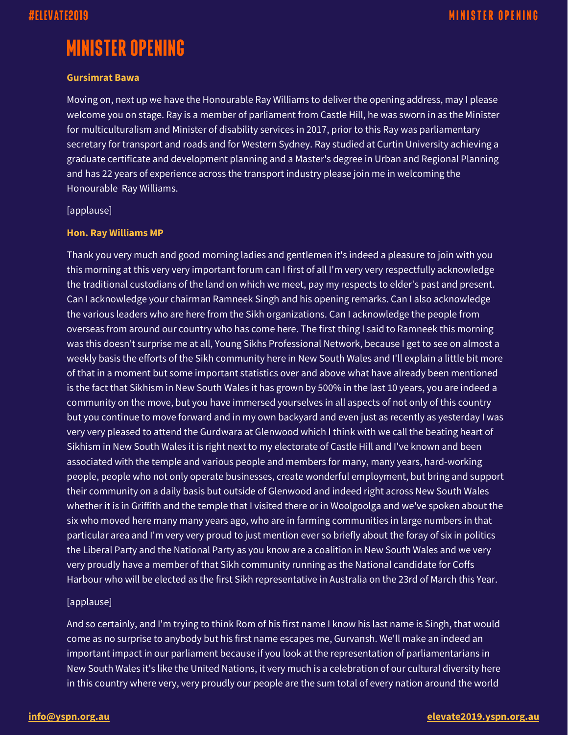# **MINISTER OPENING**

#### **Gursimrat Bawa**

Moving on, next up we have the Honourable Ray Williams to deliver the opening address, may I please welcome you on stage. Ray is a member of parliament from Castle Hill, he was sworn in as the Minister for multiculturalism and Minister of disability services in 2017, prior to this Ray was parliamentary secretary for transport and roads and for Western Sydney. Ray studied at Curtin University achieving a graduate certificate and development planning and a Master's degree in Urban and Regional Planning and has 22 years of experience across the transport industry please join me in welcoming the Honourable Ray Williams.

[applause]

#### **Hon. Ray Williams MP**

Thank you very much and good morning ladies and gentlemen it's indeed a pleasure to join with you this morning at this very very important forum can I first of all I'm very very respectfully acknowledge the traditional custodians of the land on which we meet, pay my respects to elder's past and present. Can I acknowledge your chairman Ramneek Singh and his opening remarks. Can I also acknowledge the various leaders who are here from the Sikh organizations. Can I acknowledge the people from overseas from around our country who has come here. The first thing I said to Ramneek this morning was this doesn't surprise me at all, Young Sikhs Professional Network, because I get to see on almost a weekly basis the efforts of the Sikh community here in New South Wales and I'll explain a little bit more of that in a moment but some important statistics over and above what have already been mentioned is the fact that Sikhism in New South Wales it has grown by 500% in the last 10 years, you are indeed a community on the move, but you have immersed yourselves in all aspects of not only of this country but you continue to move forward and in my own backyard and even just as recently as yesterday I was very very pleased to attend the Gurdwara at Glenwood which I think with we call the beating heart of Sikhism in New South Wales it is right next to my electorate of Castle Hill and I've known and been associated with the temple and various people and members for many, many years, hard-working people, people who not only operate businesses, create wonderful employment, but bring and support their community on a daily basis but outside of Glenwood and indeed right across New South Wales whether it is in Griffith and the temple that I visited there or in Woolgoolga and we've spoken about the six who moved here many many years ago, who are in farming communities in large numbers in that particular area and I'm very very proud to just mention ever so briefly about the foray of six in politics the Liberal Party and the National Party as you know are a coalition in New South Wales and we very very proudly have a member of that Sikh community running as the National candidate for Coffs Harbour who will be elected as the first Sikh representative in Australia on the 23rd of March this Year.

### [applause]

And so certainly, and I'm trying to think Rom of his first name I know his last name is Singh, that would come as no surprise to anybody but his first name escapes me, Gurvansh. We'll make an indeed an important impact in our parliament because if you look at the representation of parliamentarians in New South Wales it's like the United Nations, it very much is a celebration of our cultural diversity here in this country where very, very proudly our people are the sum total of every nation around the world